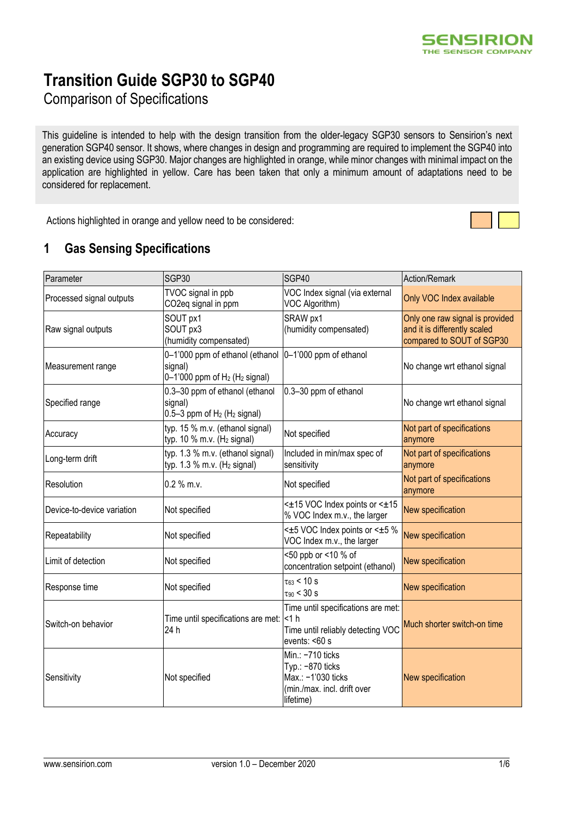# **Transition Guide SGP30 to SGP40**

Comparison of Specifications

This guideline is intended to help with the design transition from the older-legacy SGP30 sensors to Sensirion's next generation SGP40 sensor. It shows, where changes in design and programming are required to implement the SGP40 into an existing device using SGP30. Major changes are highlighted in orange, while minor changes with minimal impact on the application are highlighted in yellow. Care has been taken that only a minimum amount of adaptations need to be considered for replacement.

Actions highlighted in orange and yellow need to be considered:

#### **1 Gas Sensing Specifications**

| Parameter                    | SGP30<br>SGP40                                                                                                                               |                                                                                                        | Action/Remark                                                                                |
|------------------------------|----------------------------------------------------------------------------------------------------------------------------------------------|--------------------------------------------------------------------------------------------------------|----------------------------------------------------------------------------------------------|
| Processed signal outputs     | TVOC signal in ppb<br>CO2eq signal in ppm                                                                                                    | VOC Index signal (via external<br>VOC Algorithm)                                                       | Only VOC Index available                                                                     |
| Raw signal outputs           | SOUT px1<br>SOUT px3<br>(humidity compensated)                                                                                               | SRAW px1<br>(humidity compensated)                                                                     | Only one raw signal is provided<br>and it is differently scaled<br>compared to SOUT of SGP30 |
| Measurement range            | 0-1'000 ppm of ethanol (ethanol<br>signal)<br>$0-1'000$ ppm of $H_2$ ( $H_2$ signal)                                                         | 0-1'000 ppm of ethanol                                                                                 | No change wrt ethanol signal                                                                 |
| Specified range              | 0.3-30 ppm of ethanol (ethanol<br>signal)<br>$0.5-3$ ppm of $H_2$ ( $H_2$ signal)                                                            | 0.3-30 ppm of ethanol                                                                                  | No change wrt ethanol signal                                                                 |
| Accuracy                     | typ. 15 % m.v. (ethanol signal)<br>typ. 10 % m.v. ( $H_2$ signal)                                                                            | Not specified                                                                                          | Not part of specifications<br>anymore                                                        |
| Long-term drift              | typ. 1.3 % m.v. (ethanol signal)<br>typ. $1.3$ % m.v. (H <sub>2</sub> signal)                                                                | Included in min/max spec of<br>sensitivity                                                             | Not part of specifications<br>anymore                                                        |
| Resolution                   | $0.2 %$ m.v.                                                                                                                                 | Not specified                                                                                          | Not part of specifications<br>anymore                                                        |
| Device-to-device variation   | Not specified                                                                                                                                | <±15 VOC Index points or <±15<br>% VOC Index m.v., the larger                                          | New specification                                                                            |
| Repeatability                | Not specified                                                                                                                                | <±5 VOC Index points or <±5 %<br>VOC Index m.v., the larger                                            | New specification                                                                            |
| Limit of detection           | Not specified                                                                                                                                | <50 ppb or <10 % of<br>concentration setpoint (ethanol)                                                | New specification                                                                            |
| Response time                | Not specified                                                                                                                                | $\tau_{63}$ < 10 s<br>$\tau_{90}$ < 30 s                                                               | New specification                                                                            |
| Switch-on behavior           | Time until specifications are met:<br>Time until specifications are met: < 1 h<br>Time until reliably detecting VOC<br>24 h<br>events: <60 s |                                                                                                        | Much shorter switch-on time                                                                  |
| Not specified<br>Sensitivity |                                                                                                                                              | Min.: -710 ticks<br>Typ.: -870 ticks<br>Max.: -1'030 ticks<br>(min./max. incl. drift over<br>lifetime) | New specification                                                                            |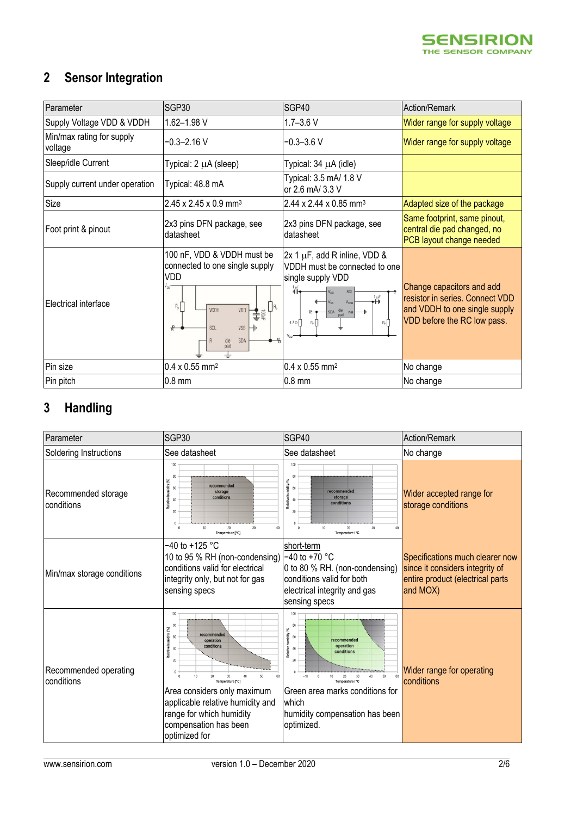

## **2 Sensor Integration**

| Parameter                            | SGP30                                                                                                                                                                               | SGP40                                                                                                                                                                | Action/Remark                                                                                                                |
|--------------------------------------|-------------------------------------------------------------------------------------------------------------------------------------------------------------------------------------|----------------------------------------------------------------------------------------------------------------------------------------------------------------------|------------------------------------------------------------------------------------------------------------------------------|
| Supply Voltage VDD & VDDH            | 1.62-1.98 V                                                                                                                                                                         | $1.7 - 3.6$ V                                                                                                                                                        | Wider range for supply voltage                                                                                               |
| Min/max rating for supply<br>voltage | -0.3-2.16 V                                                                                                                                                                         | $-0.3 - 3.6$ V                                                                                                                                                       | Wider range for supply voltage                                                                                               |
| Sleep/idle Current                   | Typical: 2 µA (sleep)                                                                                                                                                               | Typical: 34 µA (idle)                                                                                                                                                |                                                                                                                              |
| Supply current under operation       | Typical: 48.8 mA                                                                                                                                                                    | Typical: 3.5 mA/ 1.8 V<br>or 2.6 mA/ 3.3 V                                                                                                                           |                                                                                                                              |
| Size                                 | $2.45 \times 2.45 \times 0.9$ mm <sup>3</sup>                                                                                                                                       | 2.44 x 2.44 x 0.85 mm <sup>3</sup>                                                                                                                                   | Adapted size of the package                                                                                                  |
| Foot print & pinout                  | 2x3 pins DFN package, see<br>datasheet                                                                                                                                              | 2x3 pins DFN package, see<br>datasheet                                                                                                                               | Same footprint, same pinout,<br>central die pad changed, no<br>PCB layout change needed                                      |
| Electrical interface                 | 100 nF, VDD & VDDH must be<br>connected to one single supply<br>VDD<br>$R_p$<br>VDDH<br>VDD<br>$\overset{\blacklozenge}{\downarrow}$<br>SCL<br>₩<br><b>VSS</b><br>SDA<br>die<br>pad | $2x 1 \mu F$ , add R inline, VDD &<br>VDDH must be connected to one<br>single supply VDD<br><b>SCL</b><br>1 µF<br>V <sub>D</sub><br>$R_p$<br>$4.7 \Omega$<br>$R_{p}$ | Change capacitors and add<br>resistor in series. Connect VDD<br>and VDDH to one single supply<br>VDD before the RC low pass. |
| Pin size                             | $0.4 \times 0.55$ mm <sup>2</sup>                                                                                                                                                   | $0.4 \times 0.55$ mm <sup>2</sup>                                                                                                                                    | No change                                                                                                                    |
| Pin pitch                            | $0.8$ mm                                                                                                                                                                            | $0.8$ mm                                                                                                                                                             | No change                                                                                                                    |

## **3 Handling**

| Parameter                           | SGP30                                                                                                                                                                                                                                                               | SGP40                                                                                                                                                                                                       | Action/Remark                                                                                                      |
|-------------------------------------|---------------------------------------------------------------------------------------------------------------------------------------------------------------------------------------------------------------------------------------------------------------------|-------------------------------------------------------------------------------------------------------------------------------------------------------------------------------------------------------------|--------------------------------------------------------------------------------------------------------------------|
| Soldering Instructions              | See datasheet                                                                                                                                                                                                                                                       | See datasheet                                                                                                                                                                                               | No change                                                                                                          |
| Recommended storage<br>conditions   | 100<br>80<br>Relative humidity [%]<br>recommended<br>60<br>storage<br>conditions<br>40<br>20<br>10<br>20<br>30<br>Temperature [°C]                                                                                                                                  | 100<br>nidity/%<br>60<br>recommended<br>Relative hu<br>storage<br>40<br>conditions<br>20<br>20<br>30<br>40<br>Temperature / °C                                                                              | Wider accepted range for<br>storage conditions                                                                     |
| Min/max storage conditions          | $-40$ to $+125$ °C<br>10 to 95 % RH (non-condensing)<br>conditions valid for electrical<br>integrity only, but not for gas<br>sensing specs                                                                                                                         | short-term<br>$-40$ to $+70$ °C<br>0 to 80 % RH. (non-condensing)<br>conditions valid for both<br>electrical integrity and gas<br>sensing specs                                                             | Specifications much clearer now<br>since it considers integrity of<br>entire product (electrical parts<br>and MOX) |
| Recommended operating<br>conditions | 100<br>80<br>Σ<br>Relative humidity<br>recommended<br>60<br>conditions<br>$\Delta f$<br>20<br>10<br>20<br>Temperature [°C]<br>Area considers only maximum<br>applicable relative humidity and<br>range for which humidity<br>compensation has been<br>optimized for | idity/%<br>60<br>recommended<br>Relative hu<br>operation<br>40<br>conditions<br>20<br>$-10$<br>Temperature / °C<br>Green area marks conditions for<br>which<br>humidity compensation has been<br>optimized. | Wider range for operating<br>conditions                                                                            |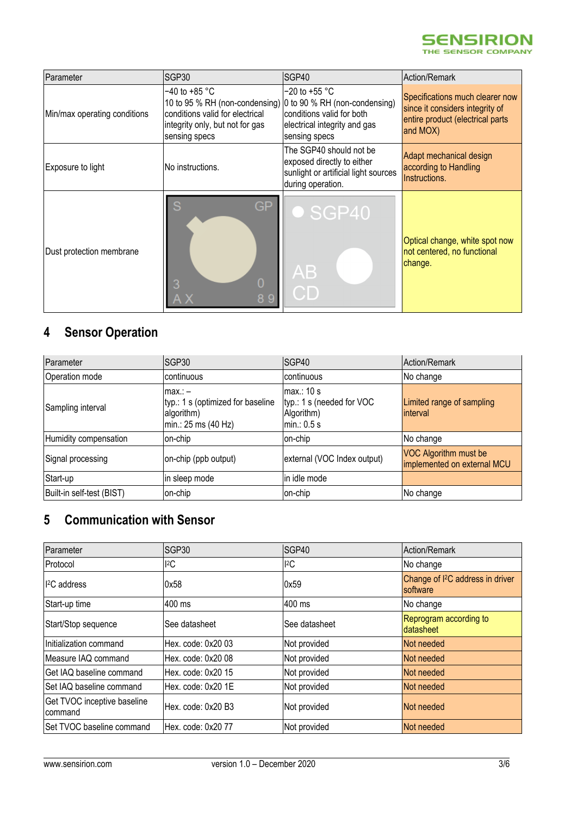

| Parameter                    | SGP30                                                                                                                                                                    | SGP40                                                                                                              | Action/Remark                                                                                                      |
|------------------------------|--------------------------------------------------------------------------------------------------------------------------------------------------------------------------|--------------------------------------------------------------------------------------------------------------------|--------------------------------------------------------------------------------------------------------------------|
| Min/max operating conditions | $-40$ to $+85$ °C<br>10 to 95 % RH (non-condensing) 0 to 90 % RH (non-condensing)<br>conditions valid for electrical<br>integrity only, but not for gas<br>sensing specs | $-20$ to $+55$ °C<br>conditions valid for both<br>electrical integrity and gas<br>sensing specs                    | Specifications much clearer now<br>since it considers integrity of<br>entire product (electrical parts<br>and MOX) |
| Exposure to light            | No instructions.                                                                                                                                                         | The SGP40 should not be<br>exposed directly to either<br>sunlight or artificial light sources<br>during operation. | Adapt mechanical design<br>according to Handling<br>Instructions.                                                  |
| Dust protection membrane     | GP<br>Ŋ<br>89                                                                                                                                                            | SGP40<br>$\mathsf{A}\mathsf{B}$<br>CD                                                                              | Optical change, white spot now<br>not centered, no functional<br>change.                                           |

## **4 Sensor Operation**

| Parameter                 | SGP30                                                                              | SGP40                                                                  | Action/Remark                                        |
|---------------------------|------------------------------------------------------------------------------------|------------------------------------------------------------------------|------------------------------------------------------|
| Operation mode            | continuous                                                                         | continuous                                                             | No change                                            |
| Sampling interval         | $max. -$<br>typ.: 1 s (optimized for baseline<br>algorithm)<br>min.: 25 ms (40 Hz) | max: 10 s<br>typ.: 1 s (needed for VOC<br>Algorithm)<br>$min.$ : 0.5 s | Limited range of sampling<br>interval                |
| Humidity compensation     | on-chip                                                                            | on-chip                                                                | No change                                            |
| Signal processing         | on-chip (ppb output)                                                               | external (VOC Index output)                                            | VOC Algorithm must be<br>implemented on external MCU |
| Start-up                  | in sleep mode                                                                      | in idle mode                                                           |                                                      |
| Built-in self-test (BIST) | on-chip                                                                            | on-chip                                                                | No change                                            |

#### **5 Communication with Sensor**

| Parameter                              | SGP <sub>30</sub>  | SGP40         | Action/Remark                                            |
|----------------------------------------|--------------------|---------------|----------------------------------------------------------|
| Protocol                               | ${}^{12}C$         | ${}^{12}C$    | No change                                                |
| I <sup>2</sup> C address               | 0x58               | 0x59          | Change of I <sup>2</sup> C address in driver<br>software |
| Start-up time                          | 400 ms             | 400 ms        | No change                                                |
| Start/Stop sequence                    | See datasheet      | See datasheet | Reprogram according to<br>datasheet                      |
| Initialization command                 | Hex. code: 0x20 03 | Not provided  | Not needed                                               |
| Measure IAQ command                    | Hex. code: 0x20 08 | Not provided  | Not needed                                               |
| Get IAQ baseline command               | Hex. code: 0x20 15 | Not provided  | Not needed                                               |
| Set IAQ baseline command               | Hex. code: 0x20 1E | Not provided  | Not needed                                               |
| Get TVOC inceptive baseline<br>command | Hex. code: 0x20 B3 | Not provided  | Not needed                                               |
| Set TVOC baseline command              | Hex. code: 0x20 77 | Not provided  | Not needed                                               |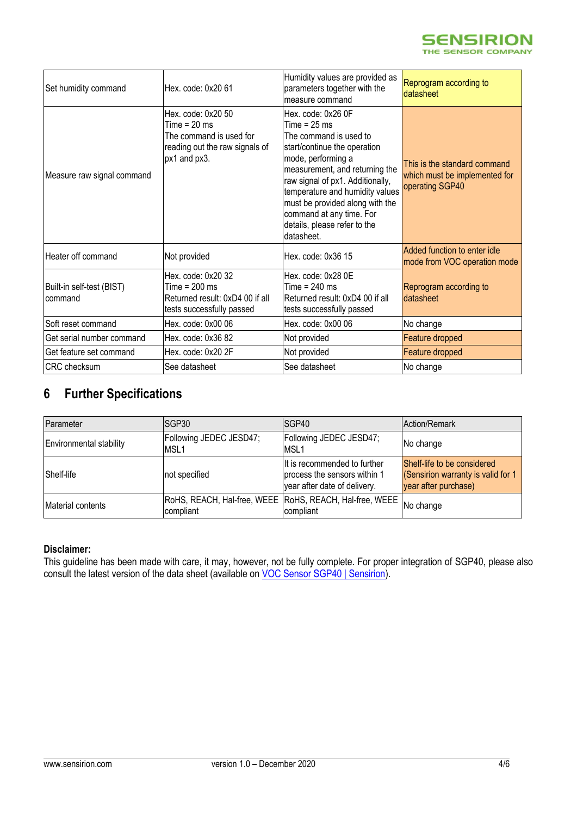

| Set humidity command                 | Hex. code: 0x20 61                                                                                                | Humidity values are provided as<br>parameters together with the<br>measure command                                                                                                                                                                                                                                                         | Reprogram according to<br>datasheet                                              |
|--------------------------------------|-------------------------------------------------------------------------------------------------------------------|--------------------------------------------------------------------------------------------------------------------------------------------------------------------------------------------------------------------------------------------------------------------------------------------------------------------------------------------|----------------------------------------------------------------------------------|
| Measure raw signal command           | Hex. code: 0x20 50<br>Time = $20$ ms<br>The command is used for<br>reading out the raw signals of<br>px1 and px3. | Hex. code: 0x26 0F<br>Time = $25$ ms<br>The command is used to<br>start/continue the operation<br>mode, performing a<br>measurement, and returning the<br>raw signal of px1. Additionally,<br>temperature and humidity values<br>must be provided along with the<br>command at any time. For<br>details, please refer to the<br>datasheet. | This is the standard command<br>which must be implemented for<br>operating SGP40 |
| Heater off command                   | Not provided                                                                                                      | Hex. code: 0x36 15                                                                                                                                                                                                                                                                                                                         | Added function to enter idle<br>mode from VOC operation mode                     |
| Built-in self-test (BIST)<br>command | Hex. code: 0x20 32<br>Time = 200 ms<br>Returned result: 0xD4 00 if all<br>tests successfully passed               | Hex. code: 0x28 0E<br>Time = $240$ ms<br>Returned result: 0xD4 00 if all<br>tests successfully passed                                                                                                                                                                                                                                      | Reprogram according to<br>datasheet                                              |
| Soft reset command                   | Hex. code: 0x00 06                                                                                                | Hex. code: 0x00 06                                                                                                                                                                                                                                                                                                                         | No change                                                                        |
| Get serial number command            | Hex. code: 0x36 82                                                                                                | Not provided                                                                                                                                                                                                                                                                                                                               | Feature dropped                                                                  |
| Get feature set command              | Hex. code: 0x20 2F                                                                                                | Not provided                                                                                                                                                                                                                                                                                                                               | Feature dropped                                                                  |
| <b>CRC</b> checksum                  | See datasheet                                                                                                     | See datasheet                                                                                                                                                                                                                                                                                                                              | No change                                                                        |

#### **6 Further Specifications**

| Parameter                      | ISGP30                                                                                       | ISGP40                                                                                       | Action/Remark                                                                             |
|--------------------------------|----------------------------------------------------------------------------------------------|----------------------------------------------------------------------------------------------|-------------------------------------------------------------------------------------------|
| <b>Environmental stability</b> | Following JEDEC JESD47;<br>MSL1                                                              | Following JEDEC JESD47;<br>MSL <sub>1</sub>                                                  | No change                                                                                 |
| Shelf-life                     | not specified                                                                                | It is recommended to further<br>process the sensors within 1<br>year after date of delivery. | Shelf-life to be considered<br>(Sensirion warranty is valid for 1<br>year after purchase) |
| Material contents              | RoHS, REACH, Hal-free, WEEE RoHS, REACH, Hal-free, WEEE No change<br>Icompliant<br>compliant |                                                                                              |                                                                                           |

#### **Disclaimer:**

This guideline has been made with care, it may, however, not be fully complete. For proper integration of SGP40, please also consult the latest version of the data sheet (available on [VOC Sensor SGP40 | Sensirion\)](https://www.sensirion.com/en/environmental-sensors/gas-sensors/sgp40/).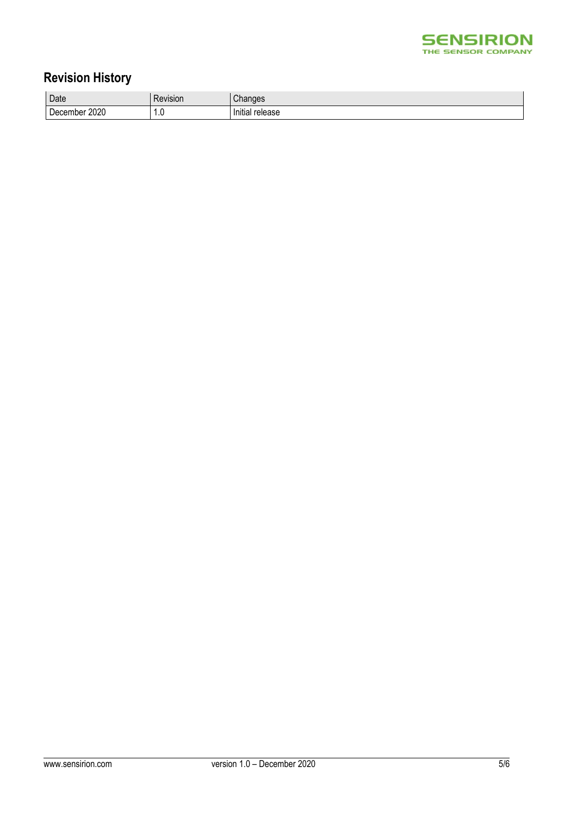

#### **Revision History**

| Date                       | Revision | Changes                |
|----------------------------|----------|------------------------|
| 2020<br>-<br>nber<br>Decem | -<br>1.U | <br>Initial<br>release |